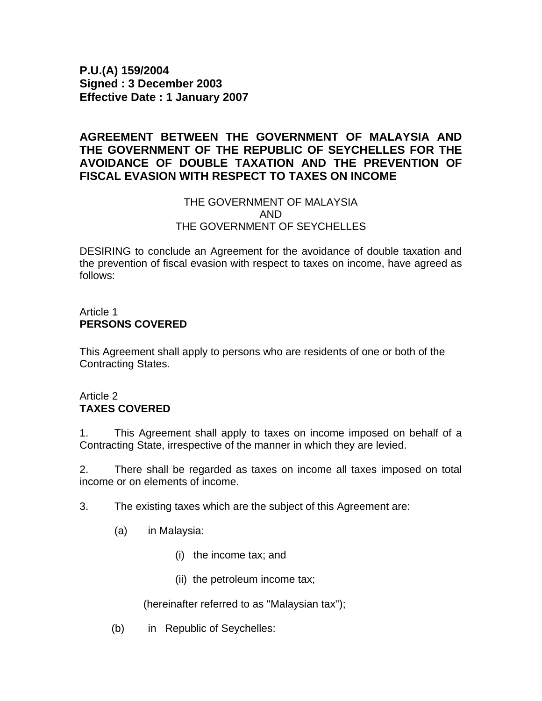**P.U.(A) 159/2004 Signed : 3 December 2003 Effective Date : 1 January 2007** 

# **AGREEMENT BETWEEN THE GOVERNMENT OF MALAYSIA AND THE GOVERNMENT OF THE REPUBLIC OF SEYCHELLES FOR THE AVOIDANCE OF DOUBLE TAXATION AND THE PREVENTION OF FISCAL EVASION WITH RESPECT TO TAXES ON INCOME**

### THE GOVERNMENT OF MALAYSIA AND THE GOVERNMENT OF SEYCHELLES

DESIRING to conclude an Agreement for the avoidance of double taxation and the prevention of fiscal evasion with respect to taxes on income, have agreed as follows:

### Article 1 **PERSONS COVERED**

This Agreement shall apply to persons who are residents of one or both of the Contracting States.

### Article 2 **TAXES COVERED**

1. This Agreement shall apply to taxes on income imposed on behalf of a Contracting State, irrespective of the manner in which they are levied.

2. There shall be regarded as taxes on income all taxes imposed on total income or on elements of income.

3. The existing taxes which are the subject of this Agreement are:

- (a) in Malaysia:
	- (i) the income tax; and
	- (ii) the petroleum income tax;

(hereinafter referred to as "Malaysian tax");

(b) in Republic of Seychelles: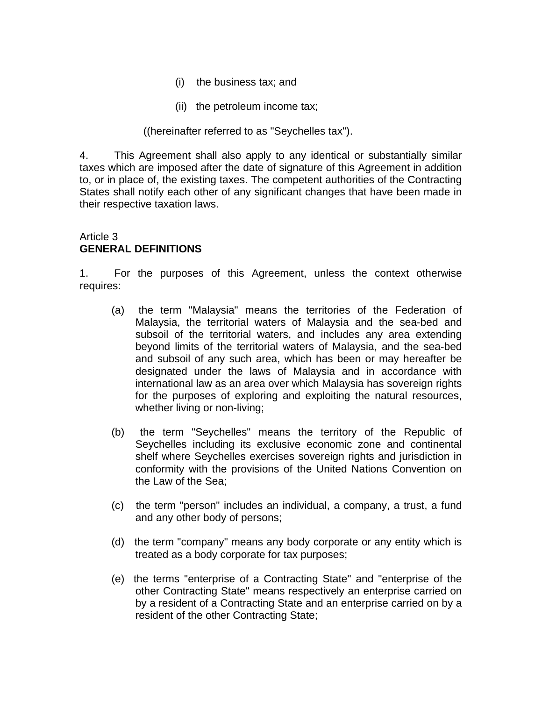- (i) the business tax; and
- (ii) the petroleum income tax;

### ((hereinafter referred to as "Seychelles tax").

4. This Agreement shall also apply to any identical or substantially similar taxes which are imposed after the date of signature of this Agreement in addition to, or in place of, the existing taxes. The competent authorities of the Contracting States shall notify each other of any significant changes that have been made in their respective taxation laws.

### Article 3 **GENERAL DEFINITIONS**

1. For the purposes of this Agreement, unless the context otherwise requires:

- (a) the term "Malaysia" means the territories of the Federation of Malaysia, the territorial waters of Malaysia and the sea-bed and subsoil of the territorial waters, and includes any area extending beyond limits of the territorial waters of Malaysia, and the sea-bed and subsoil of any such area, which has been or may hereafter be designated under the laws of Malaysia and in accordance with international law as an area over which Malaysia has sovereign rights for the purposes of exploring and exploiting the natural resources, whether living or non-living;
- (b) the term "Seychelles" means the territory of the Republic of Seychelles including its exclusive economic zone and continental shelf where Seychelles exercises sovereign rights and jurisdiction in conformity with the provisions of the United Nations Convention on the Law of the Sea;
- (c) the term "person" includes an individual, a company, a trust, a fund and any other body of persons;
- (d) the term "company" means any body corporate or any entity which is treated as a body corporate for tax purposes;
- (e) the terms "enterprise of a Contracting State" and "enterprise of the other Contracting State" means respectively an enterprise carried on by a resident of a Contracting State and an enterprise carried on by a resident of the other Contracting State;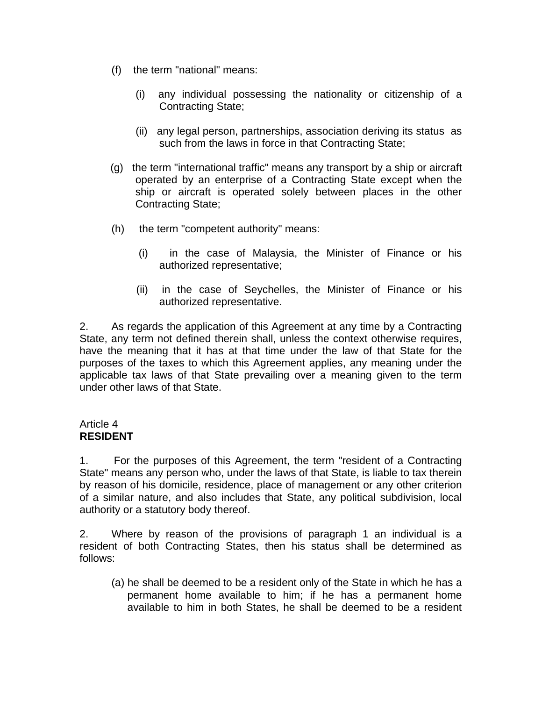- (f) the term "national" means:
	- (i) any individual possessing the nationality or citizenship of a Contracting State;
	- (ii) any legal person, partnerships, association deriving its status as such from the laws in force in that Contracting State;
- (g) the term "international traffic" means any transport by a ship or aircraft operated by an enterprise of a Contracting State except when the ship or aircraft is operated solely between places in the other Contracting State;
- (h) the term "competent authority" means:
	- (i) in the case of Malaysia, the Minister of Finance or his authorized representative;
	- (ii) in the case of Seychelles, the Minister of Finance or his authorized representative.

2. As regards the application of this Agreement at any time by a Contracting State, any term not defined therein shall, unless the context otherwise requires, have the meaning that it has at that time under the law of that State for the purposes of the taxes to which this Agreement applies, any meaning under the applicable tax laws of that State prevailing over a meaning given to the term under other laws of that State.

### Article 4 **RESIDENT**

1. For the purposes of this Agreement, the term "resident of a Contracting State" means any person who, under the laws of that State, is liable to tax therein by reason of his domicile, residence, place of management or any other criterion of a similar nature, and also includes that State, any political subdivision, local authority or a statutory body thereof.

2. Where by reason of the provisions of paragraph 1 an individual is a resident of both Contracting States, then his status shall be determined as follows:

(a) he shall be deemed to be a resident only of the State in which he has a permanent home available to him; if he has a permanent home available to him in both States, he shall be deemed to be a resident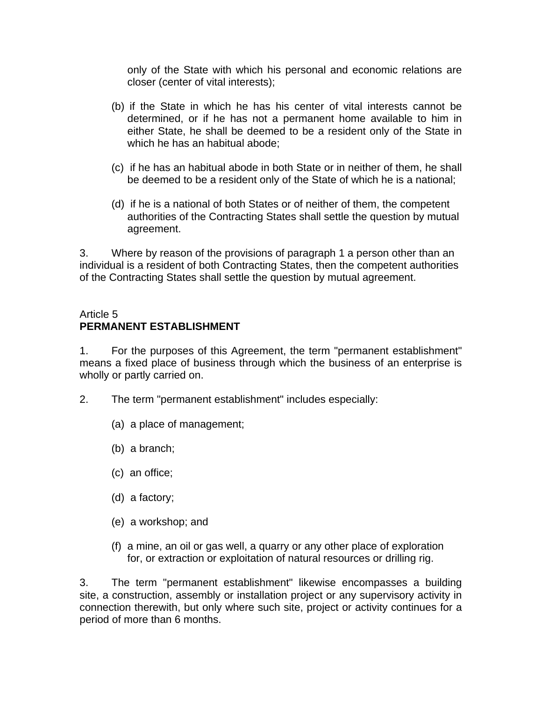only of the State with which his personal and economic relations are closer (center of vital interests);

- (b) if the State in which he has his center of vital interests cannot be determined, or if he has not a permanent home available to him in either State, he shall be deemed to be a resident only of the State in which he has an habitual abode;
- (c) if he has an habitual abode in both State or in neither of them, he shall be deemed to be a resident only of the State of which he is a national;
- (d) if he is a national of both States or of neither of them, the competent authorities of the Contracting States shall settle the question by mutual agreement.

3. Where by reason of the provisions of paragraph 1 a person other than an individual is a resident of both Contracting States, then the competent authorities of the Contracting States shall settle the question by mutual agreement.

### Article 5 **PERMANENT ESTABLISHMENT**

1. For the purposes of this Agreement, the term "permanent establishment" means a fixed place of business through which the business of an enterprise is wholly or partly carried on.

- 2. The term "permanent establishment" includes especially:
	- (a) a place of management;
	- (b) a branch;
	- (c) an office;
	- (d) a factory;
	- (e) a workshop; and
	- (f) a mine, an oil or gas well, a quarry or any other place of exploration for, or extraction or exploitation of natural resources or drilling rig.

3. The term "permanent establishment" likewise encompasses a building site, a construction, assembly or installation project or any supervisory activity in connection therewith, but only where such site, project or activity continues for a period of more than 6 months.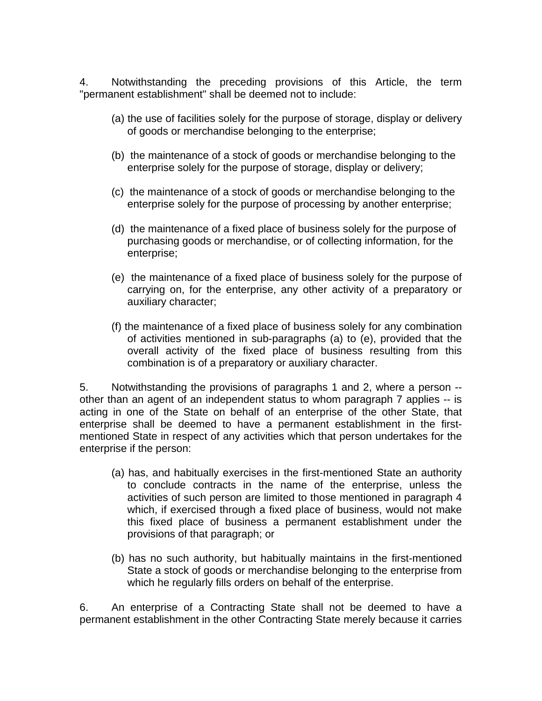4. Notwithstanding the preceding provisions of this Article, the term "permanent establishment" shall be deemed not to include:

- (a) the use of facilities solely for the purpose of storage, display or delivery of goods or merchandise belonging to the enterprise;
- (b) the maintenance of a stock of goods or merchandise belonging to the enterprise solely for the purpose of storage, display or delivery;
- (c) the maintenance of a stock of goods or merchandise belonging to the enterprise solely for the purpose of processing by another enterprise;
- (d) the maintenance of a fixed place of business solely for the purpose of purchasing goods or merchandise, or of collecting information, for the enterprise;
- (e) the maintenance of a fixed place of business solely for the purpose of carrying on, for the enterprise, any other activity of a preparatory or auxiliary character;
- (f) the maintenance of a fixed place of business solely for any combination of activities mentioned in sub-paragraphs (a) to (e), provided that the overall activity of the fixed place of business resulting from this combination is of a preparatory or auxiliary character.

5. Notwithstanding the provisions of paragraphs 1 and 2, where a person - other than an agent of an independent status to whom paragraph 7 applies -- is acting in one of the State on behalf of an enterprise of the other State, that enterprise shall be deemed to have a permanent establishment in the firstmentioned State in respect of any activities which that person undertakes for the enterprise if the person:

- (a) has, and habitually exercises in the first-mentioned State an authority to conclude contracts in the name of the enterprise, unless the activities of such person are limited to those mentioned in paragraph 4 which, if exercised through a fixed place of business, would not make this fixed place of business a permanent establishment under the provisions of that paragraph; or
- (b) has no such authority, but habitually maintains in the first-mentioned State a stock of goods or merchandise belonging to the enterprise from which he regularly fills orders on behalf of the enterprise.

6. An enterprise of a Contracting State shall not be deemed to have a permanent establishment in the other Contracting State merely because it carries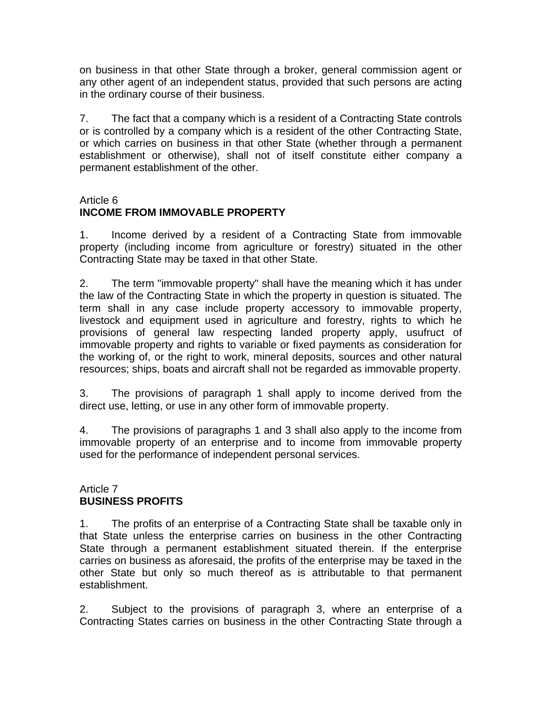on business in that other State through a broker, general commission agent or any other agent of an independent status, provided that such persons are acting in the ordinary course of their business.

7. The fact that a company which is a resident of a Contracting State controls or is controlled by a company which is a resident of the other Contracting State, or which carries on business in that other State (whether through a permanent establishment or otherwise), shall not of itself constitute either company a permanent establishment of the other.

# Article 6

# **INCOME FROM IMMOVABLE PROPERTY**

1. Income derived by a resident of a Contracting State from immovable property (including income from agriculture or forestry) situated in the other Contracting State may be taxed in that other State.

2. The term "immovable property" shall have the meaning which it has under the law of the Contracting State in which the property in question is situated. The term shall in any case include property accessory to immovable property, livestock and equipment used in agriculture and forestry, rights to which he provisions of general law respecting landed property apply, usufruct of immovable property and rights to variable or fixed payments as consideration for the working of, or the right to work, mineral deposits, sources and other natural resources; ships, boats and aircraft shall not be regarded as immovable property.

3. The provisions of paragraph 1 shall apply to income derived from the direct use, letting, or use in any other form of immovable property.

4. The provisions of paragraphs 1 and 3 shall also apply to the income from immovable property of an enterprise and to income from immovable property used for the performance of independent personal services.

# Article 7 **BUSINESS PROFITS**

1. The profits of an enterprise of a Contracting State shall be taxable only in that State unless the enterprise carries on business in the other Contracting State through a permanent establishment situated therein. If the enterprise carries on business as aforesaid, the profits of the enterprise may be taxed in the other State but only so much thereof as is attributable to that permanent establishment.

2. Subject to the provisions of paragraph 3, where an enterprise of a Contracting States carries on business in the other Contracting State through a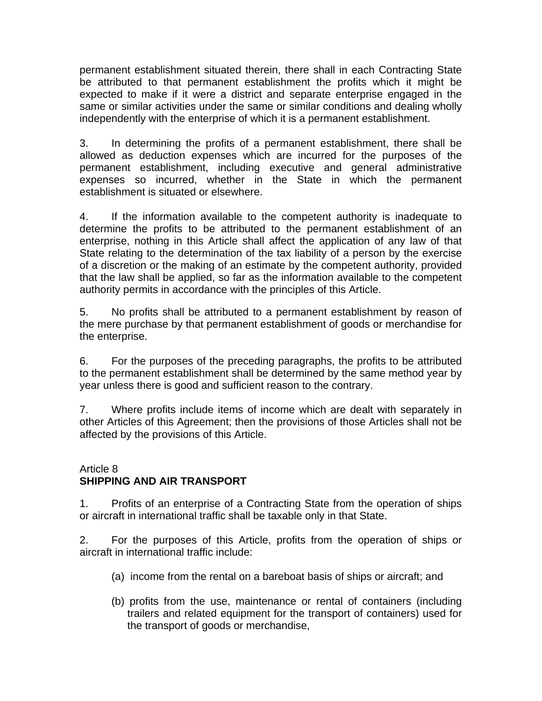permanent establishment situated therein, there shall in each Contracting State be attributed to that permanent establishment the profits which it might be expected to make if it were a district and separate enterprise engaged in the same or similar activities under the same or similar conditions and dealing wholly independently with the enterprise of which it is a permanent establishment.

3. In determining the profits of a permanent establishment, there shall be allowed as deduction expenses which are incurred for the purposes of the permanent establishment, including executive and general administrative expenses so incurred, whether in the State in which the permanent establishment is situated or elsewhere.

4. If the information available to the competent authority is inadequate to determine the profits to be attributed to the permanent establishment of an enterprise, nothing in this Article shall affect the application of any law of that State relating to the determination of the tax liability of a person by the exercise of a discretion or the making of an estimate by the competent authority, provided that the law shall be applied, so far as the information available to the competent authority permits in accordance with the principles of this Article.

5. No profits shall be attributed to a permanent establishment by reason of the mere purchase by that permanent establishment of goods or merchandise for the enterprise.

6. For the purposes of the preceding paragraphs, the profits to be attributed to the permanent establishment shall be determined by the same method year by year unless there is good and sufficient reason to the contrary.

7. Where profits include items of income which are dealt with separately in other Articles of this Agreement; then the provisions of those Articles shall not be affected by the provisions of this Article.

### Article 8 **SHIPPING AND AIR TRANSPORT**

1. Profits of an enterprise of a Contracting State from the operation of ships or aircraft in international traffic shall be taxable only in that State.

2. For the purposes of this Article, profits from the operation of ships or aircraft in international traffic include:

- (a) income from the rental on a bareboat basis of ships or aircraft; and
- (b) profits from the use, maintenance or rental of containers (including trailers and related equipment for the transport of containers) used for the transport of goods or merchandise,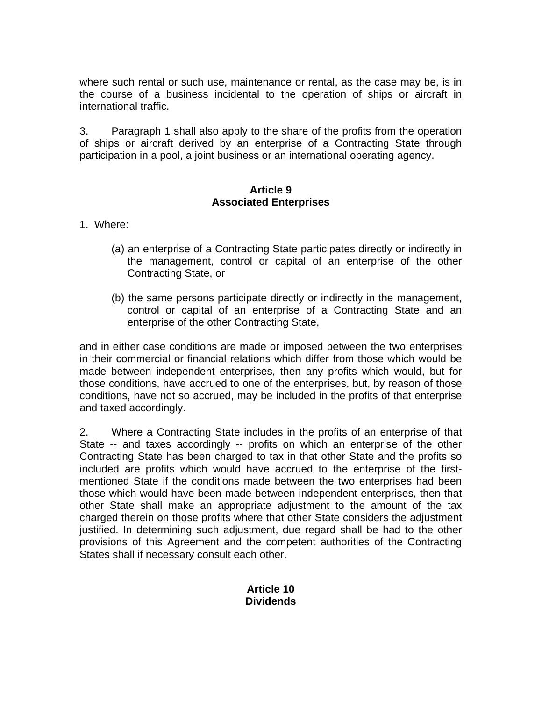where such rental or such use, maintenance or rental, as the case may be, is in the course of a business incidental to the operation of ships or aircraft in international traffic.

3. Paragraph 1 shall also apply to the share of the profits from the operation of ships or aircraft derived by an enterprise of a Contracting State through participation in a pool, a joint business or an international operating agency.

### **Article 9 Associated Enterprises**

1. Where:

- (a) an enterprise of a Contracting State participates directly or indirectly in the management, control or capital of an enterprise of the other Contracting State, or
- (b) the same persons participate directly or indirectly in the management, control or capital of an enterprise of a Contracting State and an enterprise of the other Contracting State,

and in either case conditions are made or imposed between the two enterprises in their commercial or financial relations which differ from those which would be made between independent enterprises, then any profits which would, but for those conditions, have accrued to one of the enterprises, but, by reason of those conditions, have not so accrued, may be included in the profits of that enterprise and taxed accordingly.

2. Where a Contracting State includes in the profits of an enterprise of that State -- and taxes accordingly -- profits on which an enterprise of the other Contracting State has been charged to tax in that other State and the profits so included are profits which would have accrued to the enterprise of the firstmentioned State if the conditions made between the two enterprises had been those which would have been made between independent enterprises, then that other State shall make an appropriate adjustment to the amount of the tax charged therein on those profits where that other State considers the adjustment justified. In determining such adjustment, due regard shall be had to the other provisions of this Agreement and the competent authorities of the Contracting States shall if necessary consult each other.

# **Article 10 Dividends**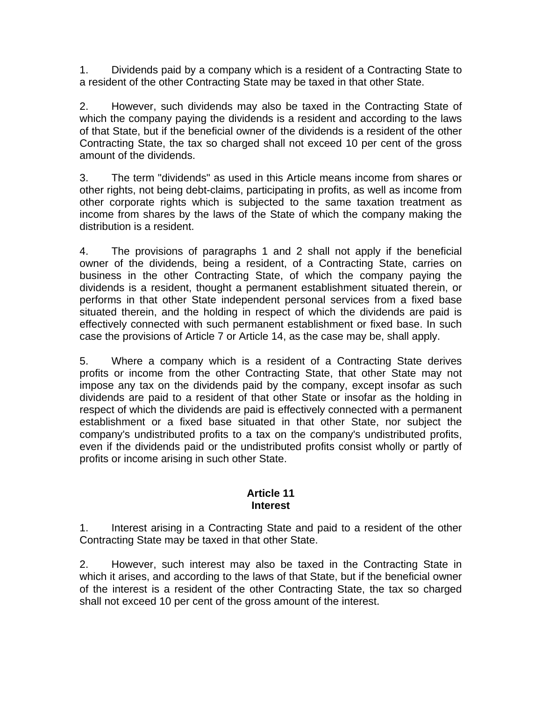1. Dividends paid by a company which is a resident of a Contracting State to a resident of the other Contracting State may be taxed in that other State.

2. However, such dividends may also be taxed in the Contracting State of which the company paying the dividends is a resident and according to the laws of that State, but if the beneficial owner of the dividends is a resident of the other Contracting State, the tax so charged shall not exceed 10 per cent of the gross amount of the dividends.

3. The term "dividends" as used in this Article means income from shares or other rights, not being debt-claims, participating in profits, as well as income from other corporate rights which is subjected to the same taxation treatment as income from shares by the laws of the State of which the company making the distribution is a resident.

4. The provisions of paragraphs 1 and 2 shall not apply if the beneficial owner of the dividends, being a resident, of a Contracting State, carries on business in the other Contracting State, of which the company paying the dividends is a resident, thought a permanent establishment situated therein, or performs in that other State independent personal services from a fixed base situated therein, and the holding in respect of which the dividends are paid is effectively connected with such permanent establishment or fixed base. In such case the provisions of Article 7 or Article 14, as the case may be, shall apply.

5. Where a company which is a resident of a Contracting State derives profits or income from the other Contracting State, that other State may not impose any tax on the dividends paid by the company, except insofar as such dividends are paid to a resident of that other State or insofar as the holding in respect of which the dividends are paid is effectively connected with a permanent establishment or a fixed base situated in that other State, nor subject the company's undistributed profits to a tax on the company's undistributed profits, even if the dividends paid or the undistributed profits consist wholly or partly of profits or income arising in such other State.

#### **Article 11 Interest**

1. Interest arising in a Contracting State and paid to a resident of the other Contracting State may be taxed in that other State.

2. However, such interest may also be taxed in the Contracting State in which it arises, and according to the laws of that State, but if the beneficial owner of the interest is a resident of the other Contracting State, the tax so charged shall not exceed 10 per cent of the gross amount of the interest.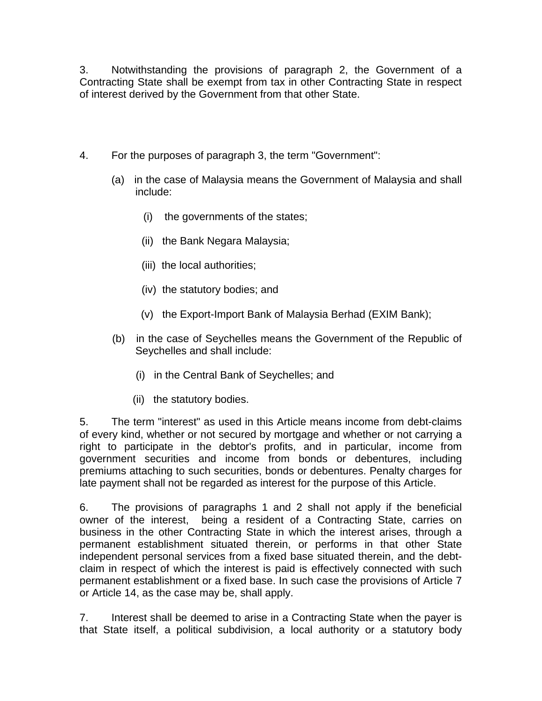3. Notwithstanding the provisions of paragraph 2, the Government of a Contracting State shall be exempt from tax in other Contracting State in respect of interest derived by the Government from that other State.

- 4. For the purposes of paragraph 3, the term "Government":
	- (a) in the case of Malaysia means the Government of Malaysia and shall include:
		- (i) the governments of the states;
		- (ii) the Bank Negara Malaysia;
		- (iii) the local authorities;
		- (iv) the statutory bodies; and
		- (v) the Export-Import Bank of Malaysia Berhad (EXIM Bank);
	- (b) in the case of Seychelles means the Government of the Republic of Seychelles and shall include:
		- (i) in the Central Bank of Seychelles; and
		- (ii) the statutory bodies.

5. The term "interest" as used in this Article means income from debt-claims of every kind, whether or not secured by mortgage and whether or not carrying a right to participate in the debtor's profits, and in particular, income from government securities and income from bonds or debentures, including premiums attaching to such securities, bonds or debentures. Penalty charges for late payment shall not be regarded as interest for the purpose of this Article.

6. The provisions of paragraphs 1 and 2 shall not apply if the beneficial owner of the interest, being a resident of a Contracting State, carries on business in the other Contracting State in which the interest arises, through a permanent establishment situated therein, or performs in that other State independent personal services from a fixed base situated therein, and the debtclaim in respect of which the interest is paid is effectively connected with such permanent establishment or a fixed base. In such case the provisions of Article 7 or Article 14, as the case may be, shall apply.

7. Interest shall be deemed to arise in a Contracting State when the payer is that State itself, a political subdivision, a local authority or a statutory body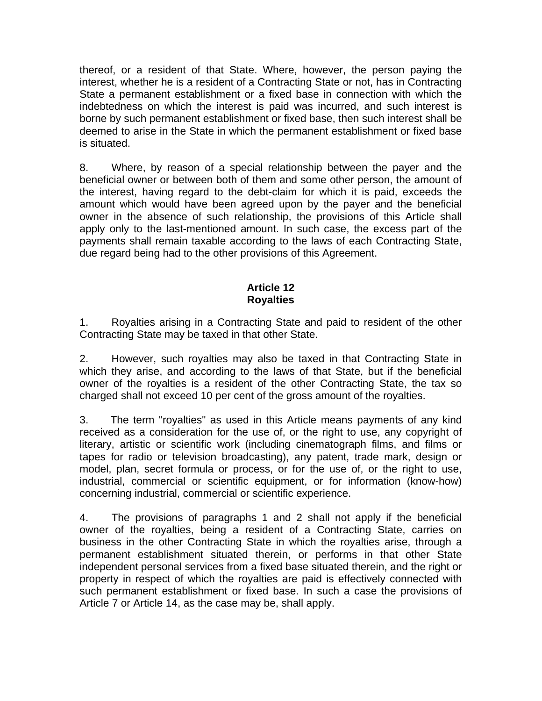thereof, or a resident of that State. Where, however, the person paying the interest, whether he is a resident of a Contracting State or not, has in Contracting State a permanent establishment or a fixed base in connection with which the indebtedness on which the interest is paid was incurred, and such interest is borne by such permanent establishment or fixed base, then such interest shall be deemed to arise in the State in which the permanent establishment or fixed base is situated.

8. Where, by reason of a special relationship between the payer and the beneficial owner or between both of them and some other person, the amount of the interest, having regard to the debt-claim for which it is paid, exceeds the amount which would have been agreed upon by the payer and the beneficial owner in the absence of such relationship, the provisions of this Article shall apply only to the last-mentioned amount. In such case, the excess part of the payments shall remain taxable according to the laws of each Contracting State, due regard being had to the other provisions of this Agreement.

## **Article 12 Royalties**

1. Royalties arising in a Contracting State and paid to resident of the other Contracting State may be taxed in that other State.

2. However, such royalties may also be taxed in that Contracting State in which they arise, and according to the laws of that State, but if the beneficial owner of the royalties is a resident of the other Contracting State, the tax so charged shall not exceed 10 per cent of the gross amount of the royalties.

3. The term "royalties" as used in this Article means payments of any kind received as a consideration for the use of, or the right to use, any copyright of literary, artistic or scientific work (including cinematograph films, and films or tapes for radio or television broadcasting), any patent, trade mark, design or model, plan, secret formula or process, or for the use of, or the right to use, industrial, commercial or scientific equipment, or for information (know-how) concerning industrial, commercial or scientific experience.

4. The provisions of paragraphs 1 and 2 shall not apply if the beneficial owner of the royalties, being a resident of a Contracting State, carries on business in the other Contracting State in which the royalties arise, through a permanent establishment situated therein, or performs in that other State independent personal services from a fixed base situated therein, and the right or property in respect of which the royalties are paid is effectively connected with such permanent establishment or fixed base. In such a case the provisions of Article 7 or Article 14, as the case may be, shall apply.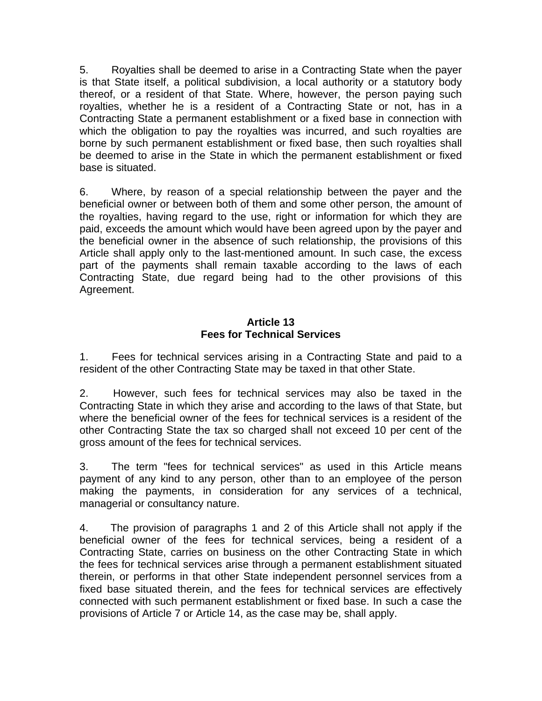5. Royalties shall be deemed to arise in a Contracting State when the payer is that State itself, a political subdivision, a local authority or a statutory body thereof, or a resident of that State. Where, however, the person paying such royalties, whether he is a resident of a Contracting State or not, has in a Contracting State a permanent establishment or a fixed base in connection with which the obligation to pay the royalties was incurred, and such royalties are borne by such permanent establishment or fixed base, then such royalties shall be deemed to arise in the State in which the permanent establishment or fixed base is situated.

6. Where, by reason of a special relationship between the payer and the beneficial owner or between both of them and some other person, the amount of the royalties, having regard to the use, right or information for which they are paid, exceeds the amount which would have been agreed upon by the payer and the beneficial owner in the absence of such relationship, the provisions of this Article shall apply only to the last-mentioned amount. In such case, the excess part of the payments shall remain taxable according to the laws of each Contracting State, due regard being had to the other provisions of this Agreement.

## **Article 13 Fees for Technical Services**

1. Fees for technical services arising in a Contracting State and paid to a resident of the other Contracting State may be taxed in that other State.

2. However, such fees for technical services may also be taxed in the Contracting State in which they arise and according to the laws of that State, but where the beneficial owner of the fees for technical services is a resident of the other Contracting State the tax so charged shall not exceed 10 per cent of the gross amount of the fees for technical services.

3. The term "fees for technical services" as used in this Article means payment of any kind to any person, other than to an employee of the person making the payments, in consideration for any services of a technical, managerial or consultancy nature.

4. The provision of paragraphs 1 and 2 of this Article shall not apply if the beneficial owner of the fees for technical services, being a resident of a Contracting State, carries on business on the other Contracting State in which the fees for technical services arise through a permanent establishment situated therein, or performs in that other State independent personnel services from a fixed base situated therein, and the fees for technical services are effectively connected with such permanent establishment or fixed base. In such a case the provisions of Article 7 or Article 14, as the case may be, shall apply.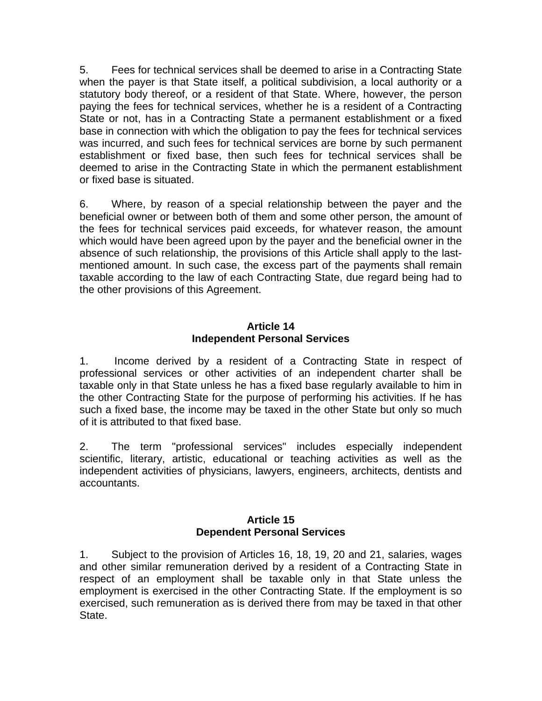5. Fees for technical services shall be deemed to arise in a Contracting State when the payer is that State itself, a political subdivision, a local authority or a statutory body thereof, or a resident of that State. Where, however, the person paying the fees for technical services, whether he is a resident of a Contracting State or not, has in a Contracting State a permanent establishment or a fixed base in connection with which the obligation to pay the fees for technical services was incurred, and such fees for technical services are borne by such permanent establishment or fixed base, then such fees for technical services shall be deemed to arise in the Contracting State in which the permanent establishment or fixed base is situated.

6. Where, by reason of a special relationship between the payer and the beneficial owner or between both of them and some other person, the amount of the fees for technical services paid exceeds, for whatever reason, the amount which would have been agreed upon by the payer and the beneficial owner in the absence of such relationship, the provisions of this Article shall apply to the lastmentioned amount. In such case, the excess part of the payments shall remain taxable according to the law of each Contracting State, due regard being had to the other provisions of this Agreement.

### **Article 14 Independent Personal Services**

1. Income derived by a resident of a Contracting State in respect of professional services or other activities of an independent charter shall be taxable only in that State unless he has a fixed base regularly available to him in the other Contracting State for the purpose of performing his activities. If he has such a fixed base, the income may be taxed in the other State but only so much of it is attributed to that fixed base.

2. The term "professional services" includes especially independent scientific, literary, artistic, educational or teaching activities as well as the independent activities of physicians, lawyers, engineers, architects, dentists and accountants.

#### **Article 15 Dependent Personal Services**

1. Subject to the provision of Articles 16, 18, 19, 20 and 21, salaries, wages and other similar remuneration derived by a resident of a Contracting State in respect of an employment shall be taxable only in that State unless the employment is exercised in the other Contracting State. If the employment is so exercised, such remuneration as is derived there from may be taxed in that other State.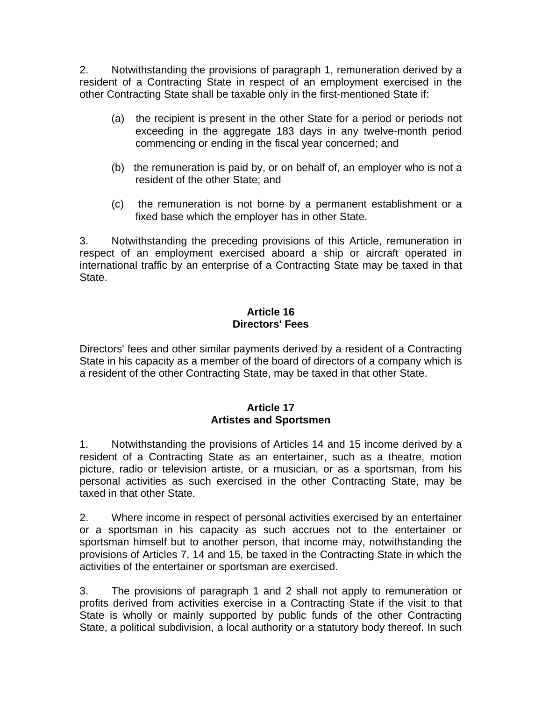2. Notwithstanding the provisions of paragraph 1, remuneration derived by a resident of a Contracting State in respect of an employment exercised in the other Contracting State shall be taxable only in the first-mentioned State if:

- (a) the recipient is present in the other State for a period or periods not exceeding in the aggregate 183 days in any twelve-month period commencing or ending in the fiscal year concerned; and
- (b) the remuneration is paid by, or on behalf of, an employer who is not a resident of the other State; and
- (c) the remuneration is not borne by a permanent establishment or a fixed base which the employer has in other State.

3. Notwithstanding the preceding provisions of this Article, remuneration in respect of an employment exercised aboard a ship or aircraft operated in international traffic by an enterprise of a Contracting State may be taxed in that State.

### **Article 16 Directors' Fees**

Directors' fees and other similar payments derived by a resident of a Contracting State in his capacity as a member of the board of directors of a company which is a resident of the other Contracting State, may be taxed in that other State.

### **Article 17 Artistes and Sportsmen**

1. Notwithstanding the provisions of Articles 14 and 15 income derived by a resident of a Contracting State as an entertainer, such as a theatre, motion picture, radio or television artiste, or a musician, or as a sportsman, from his personal activities as such exercised in the other Contracting State, may be taxed in that other State.

2. Where income in respect of personal activities exercised by an entertainer or a sportsman in his capacity as such accrues not to the entertainer or sportsman himself but to another person, that income may, notwithstanding the provisions of Articles 7, 14 and 15, be taxed in the Contracting State in which the activities of the entertainer or sportsman are exercised.

3. The provisions of paragraph 1 and 2 shall not apply to remuneration or profits derived from activities exercise in a Contracting State if the visit to that State is wholly or mainly supported by public funds of the other Contracting State, a political subdivision, a local authority or a statutory body thereof. In such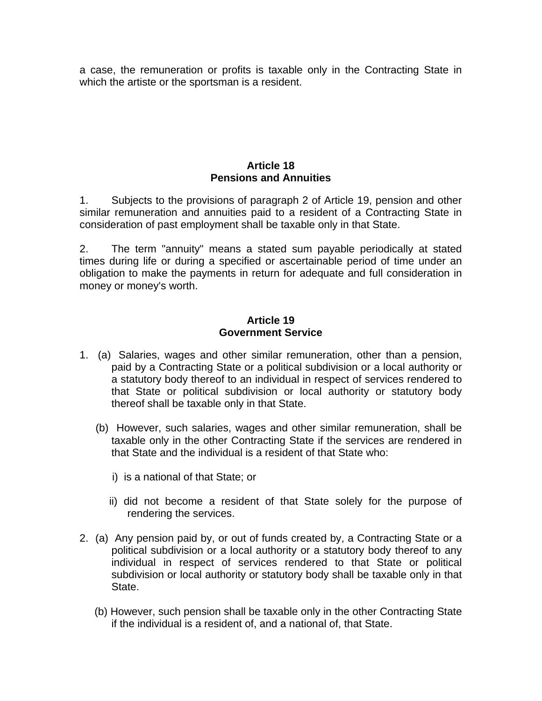a case, the remuneration or profits is taxable only in the Contracting State in which the artiste or the sportsman is a resident.

### **Article 18 Pensions and Annuities**

1. Subjects to the provisions of paragraph 2 of Article 19, pension and other similar remuneration and annuities paid to a resident of a Contracting State in consideration of past employment shall be taxable only in that State.

2. The term "annuity" means a stated sum payable periodically at stated times during life or during a specified or ascertainable period of time under an obligation to make the payments in return for adequate and full consideration in money or money's worth.

#### **Article 19 Government Service**

- 1. (a) Salaries, wages and other similar remuneration, other than a pension, paid by a Contracting State or a political subdivision or a local authority or a statutory body thereof to an individual in respect of services rendered to that State or political subdivision or local authority or statutory body thereof shall be taxable only in that State.
	- (b) However, such salaries, wages and other similar remuneration, shall be taxable only in the other Contracting State if the services are rendered in that State and the individual is a resident of that State who:
		- i) is a national of that State; or
		- ii) did not become a resident of that State solely for the purpose of rendering the services.
- 2. (a) Any pension paid by, or out of funds created by, a Contracting State or a political subdivision or a local authority or a statutory body thereof to any individual in respect of services rendered to that State or political subdivision or local authority or statutory body shall be taxable only in that State.
	- (b) However, such pension shall be taxable only in the other Contracting State if the individual is a resident of, and a national of, that State.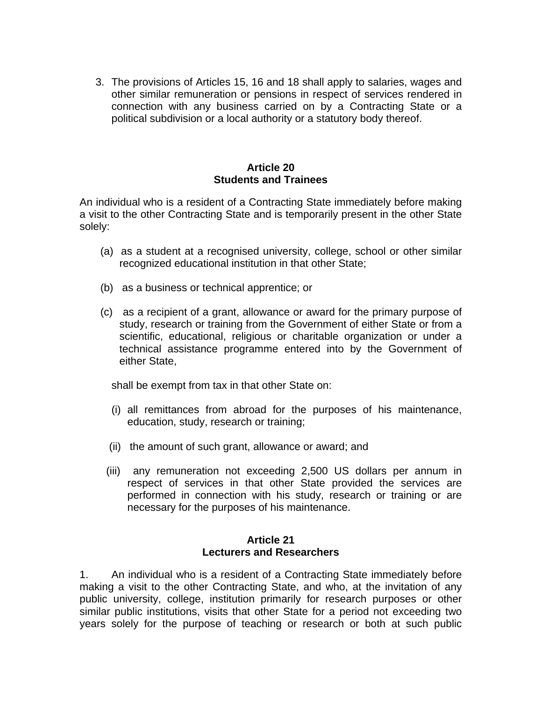3. The provisions of Articles 15, 16 and 18 shall apply to salaries, wages and other similar remuneration or pensions in respect of services rendered in connection with any business carried on by a Contracting State or a political subdivision or a local authority or a statutory body thereof.

#### **Article 20 Students and Trainees**

An individual who is a resident of a Contracting State immediately before making a visit to the other Contracting State and is temporarily present in the other State solely:

- (a) as a student at a recognised university, college, school or other similar recognized educational institution in that other State;
- (b) as a business or technical apprentice; or
- (c) as a recipient of a grant, allowance or award for the primary purpose of study, research or training from the Government of either State or from a scientific, educational, religious or charitable organization or under a technical assistance programme entered into by the Government of either State,

shall be exempt from tax in that other State on:

- (i) all remittances from abroad for the purposes of his maintenance, education, study, research or training;
- (ii) the amount of such grant, allowance or award; and
- (iii) any remuneration not exceeding 2,500 US dollars per annum in respect of services in that other State provided the services are performed in connection with his study, research or training or are necessary for the purposes of his maintenance.

### **Article 21 Lecturers and Researchers**

1. An individual who is a resident of a Contracting State immediately before making a visit to the other Contracting State, and who, at the invitation of any public university, college, institution primarily for research purposes or other similar public institutions, visits that other State for a period not exceeding two years solely for the purpose of teaching or research or both at such public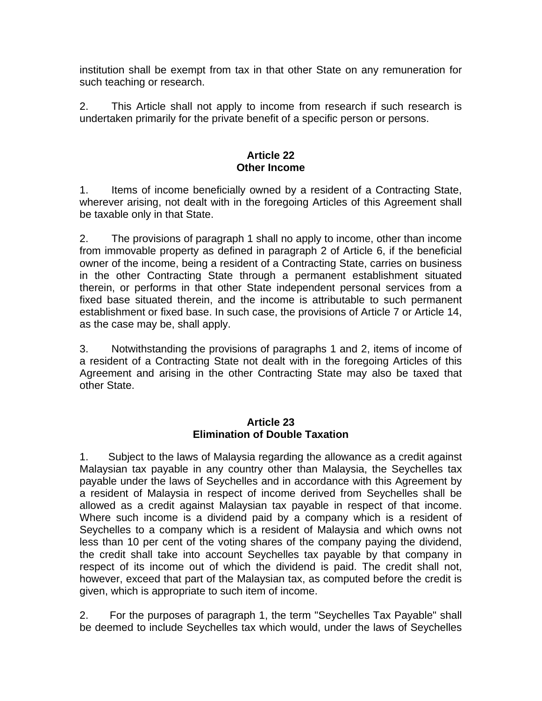institution shall be exempt from tax in that other State on any remuneration for such teaching or research.

2. This Article shall not apply to income from research if such research is undertaken primarily for the private benefit of a specific person or persons.

#### **Article 22 Other Income**

1. Items of income beneficially owned by a resident of a Contracting State, wherever arising, not dealt with in the foregoing Articles of this Agreement shall be taxable only in that State.

2. The provisions of paragraph 1 shall no apply to income, other than income from immovable property as defined in paragraph 2 of Article 6, if the beneficial owner of the income, being a resident of a Contracting State, carries on business in the other Contracting State through a permanent establishment situated therein, or performs in that other State independent personal services from a fixed base situated therein, and the income is attributable to such permanent establishment or fixed base. In such case, the provisions of Article 7 or Article 14, as the case may be, shall apply.

3. Notwithstanding the provisions of paragraphs 1 and 2, items of income of a resident of a Contracting State not dealt with in the foregoing Articles of this Agreement and arising in the other Contracting State may also be taxed that other State.

### **Article 23 Elimination of Double Taxation**

1. Subject to the laws of Malaysia regarding the allowance as a credit against Malaysian tax payable in any country other than Malaysia, the Seychelles tax payable under the laws of Seychelles and in accordance with this Agreement by a resident of Malaysia in respect of income derived from Seychelles shall be allowed as a credit against Malaysian tax payable in respect of that income. Where such income is a dividend paid by a company which is a resident of Seychelles to a company which is a resident of Malaysia and which owns not less than 10 per cent of the voting shares of the company paying the dividend, the credit shall take into account Seychelles tax payable by that company in respect of its income out of which the dividend is paid. The credit shall not, however, exceed that part of the Malaysian tax, as computed before the credit is given, which is appropriate to such item of income.

2. For the purposes of paragraph 1, the term "Seychelles Tax Payable" shall be deemed to include Seychelles tax which would, under the laws of Seychelles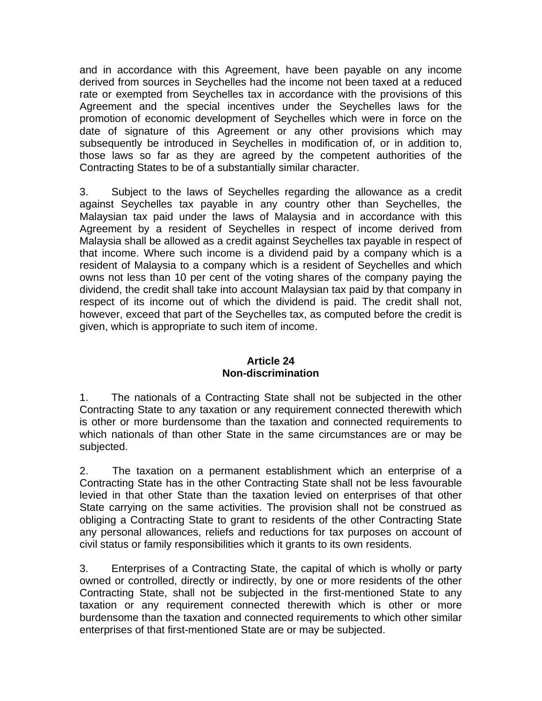and in accordance with this Agreement, have been payable on any income derived from sources in Seychelles had the income not been taxed at a reduced rate or exempted from Seychelles tax in accordance with the provisions of this Agreement and the special incentives under the Seychelles laws for the promotion of economic development of Seychelles which were in force on the date of signature of this Agreement or any other provisions which may subsequently be introduced in Seychelles in modification of, or in addition to, those laws so far as they are agreed by the competent authorities of the Contracting States to be of a substantially similar character.

3. Subject to the laws of Seychelles regarding the allowance as a credit against Seychelles tax payable in any country other than Seychelles, the Malaysian tax paid under the laws of Malaysia and in accordance with this Agreement by a resident of Seychelles in respect of income derived from Malaysia shall be allowed as a credit against Seychelles tax payable in respect of that income. Where such income is a dividend paid by a company which is a resident of Malaysia to a company which is a resident of Seychelles and which owns not less than 10 per cent of the voting shares of the company paying the dividend, the credit shall take into account Malaysian tax paid by that company in respect of its income out of which the dividend is paid. The credit shall not, however, exceed that part of the Seychelles tax, as computed before the credit is given, which is appropriate to such item of income.

### **Article 24 Non-discrimination**

1. The nationals of a Contracting State shall not be subjected in the other Contracting State to any taxation or any requirement connected therewith which is other or more burdensome than the taxation and connected requirements to which nationals of than other State in the same circumstances are or may be subjected.

2. The taxation on a permanent establishment which an enterprise of a Contracting State has in the other Contracting State shall not be less favourable levied in that other State than the taxation levied on enterprises of that other State carrying on the same activities. The provision shall not be construed as obliging a Contracting State to grant to residents of the other Contracting State any personal allowances, reliefs and reductions for tax purposes on account of civil status or family responsibilities which it grants to its own residents.

3. Enterprises of a Contracting State, the capital of which is wholly or party owned or controlled, directly or indirectly, by one or more residents of the other Contracting State, shall not be subjected in the first-mentioned State to any taxation or any requirement connected therewith which is other or more burdensome than the taxation and connected requirements to which other similar enterprises of that first-mentioned State are or may be subjected.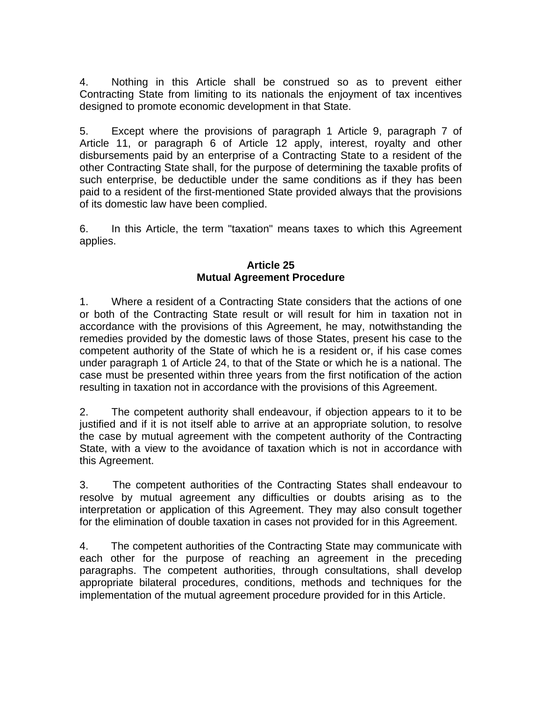4. Nothing in this Article shall be construed so as to prevent either Contracting State from limiting to its nationals the enjoyment of tax incentives designed to promote economic development in that State.

5. Except where the provisions of paragraph 1 Article 9, paragraph 7 of Article 11, or paragraph 6 of Article 12 apply, interest, royalty and other disbursements paid by an enterprise of a Contracting State to a resident of the other Contracting State shall, for the purpose of determining the taxable profits of such enterprise, be deductible under the same conditions as if they has been paid to a resident of the first-mentioned State provided always that the provisions of its domestic law have been complied.

6. In this Article, the term "taxation" means taxes to which this Agreement applies.

### **Article 25 Mutual Agreement Procedure**

1. Where a resident of a Contracting State considers that the actions of one or both of the Contracting State result or will result for him in taxation not in accordance with the provisions of this Agreement, he may, notwithstanding the remedies provided by the domestic laws of those States, present his case to the competent authority of the State of which he is a resident or, if his case comes under paragraph 1 of Article 24, to that of the State or which he is a national. The case must be presented within three years from the first notification of the action resulting in taxation not in accordance with the provisions of this Agreement.

2. The competent authority shall endeavour, if objection appears to it to be justified and if it is not itself able to arrive at an appropriate solution, to resolve the case by mutual agreement with the competent authority of the Contracting State, with a view to the avoidance of taxation which is not in accordance with this Agreement.

3. The competent authorities of the Contracting States shall endeavour to resolve by mutual agreement any difficulties or doubts arising as to the interpretation or application of this Agreement. They may also consult together for the elimination of double taxation in cases not provided for in this Agreement.

4. The competent authorities of the Contracting State may communicate with each other for the purpose of reaching an agreement in the preceding paragraphs. The competent authorities, through consultations, shall develop appropriate bilateral procedures, conditions, methods and techniques for the implementation of the mutual agreement procedure provided for in this Article.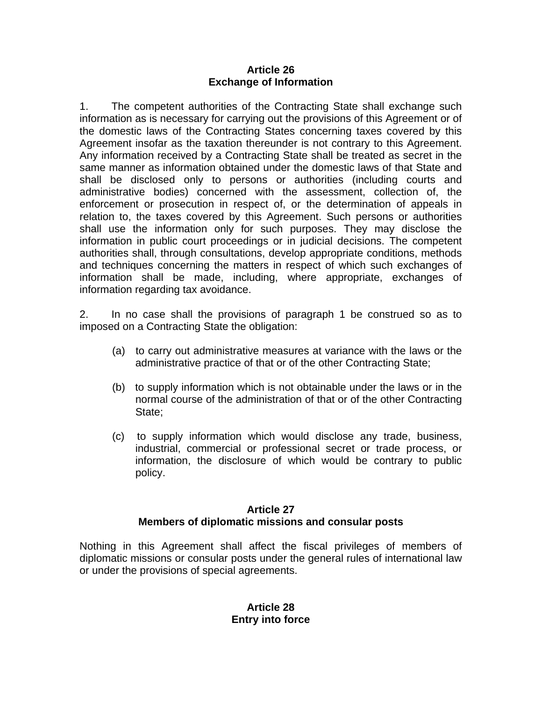#### **Article 26 Exchange of Information**

1. The competent authorities of the Contracting State shall exchange such information as is necessary for carrying out the provisions of this Agreement or of the domestic laws of the Contracting States concerning taxes covered by this Agreement insofar as the taxation thereunder is not contrary to this Agreement. Any information received by a Contracting State shall be treated as secret in the same manner as information obtained under the domestic laws of that State and shall be disclosed only to persons or authorities (including courts and administrative bodies) concerned with the assessment, collection of, the enforcement or prosecution in respect of, or the determination of appeals in relation to, the taxes covered by this Agreement. Such persons or authorities shall use the information only for such purposes. They may disclose the information in public court proceedings or in judicial decisions. The competent authorities shall, through consultations, develop appropriate conditions, methods and techniques concerning the matters in respect of which such exchanges of information shall be made, including, where appropriate, exchanges of information regarding tax avoidance.

2. In no case shall the provisions of paragraph 1 be construed so as to imposed on a Contracting State the obligation:

- (a) to carry out administrative measures at variance with the laws or the administrative practice of that or of the other Contracting State;
- (b) to supply information which is not obtainable under the laws or in the normal course of the administration of that or of the other Contracting State;
- (c) to supply information which would disclose any trade, business, industrial, commercial or professional secret or trade process, or information, the disclosure of which would be contrary to public policy.

# **Article 27 Members of diplomatic missions and consular posts**

Nothing in this Agreement shall affect the fiscal privileges of members of diplomatic missions or consular posts under the general rules of international law or under the provisions of special agreements.

### **Article 28 Entry into force**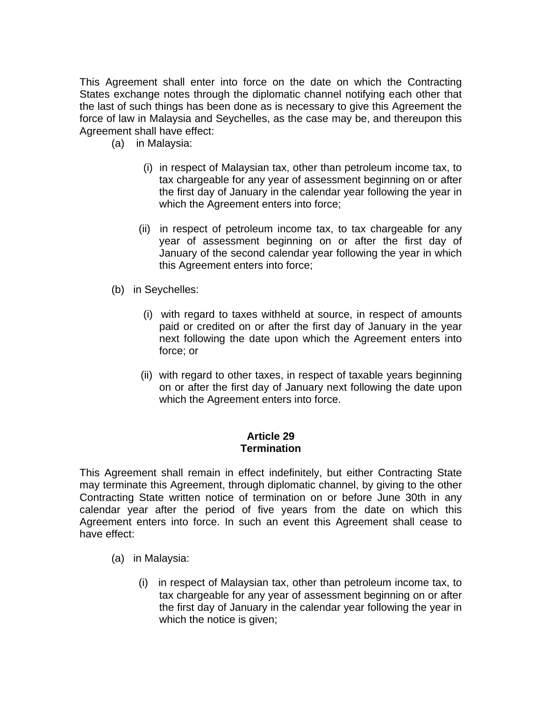This Agreement shall enter into force on the date on which the Contracting States exchange notes through the diplomatic channel notifying each other that the last of such things has been done as is necessary to give this Agreement the force of law in Malaysia and Seychelles, as the case may be, and thereupon this Agreement shall have effect:

- (a) in Malaysia:
	- (i) in respect of Malaysian tax, other than petroleum income tax, to tax chargeable for any year of assessment beginning on or after the first day of January in the calendar year following the year in which the Agreement enters into force;
	- (ii) in respect of petroleum income tax, to tax chargeable for any year of assessment beginning on or after the first day of January of the second calendar year following the year in which this Agreement enters into force;
- (b) in Seychelles:
	- (i) with regard to taxes withheld at source, in respect of amounts paid or credited on or after the first day of January in the year next following the date upon which the Agreement enters into force; or
	- (ii) with regard to other taxes, in respect of taxable years beginning on or after the first day of January next following the date upon which the Agreement enters into force.

#### **Article 29 Termination**

This Agreement shall remain in effect indefinitely, but either Contracting State may terminate this Agreement, through diplomatic channel, by giving to the other Contracting State written notice of termination on or before June 30th in any calendar year after the period of five years from the date on which this Agreement enters into force. In such an event this Agreement shall cease to have effect:

- (a) in Malaysia:
	- (i) in respect of Malaysian tax, other than petroleum income tax, to tax chargeable for any year of assessment beginning on or after the first day of January in the calendar year following the year in which the notice is given;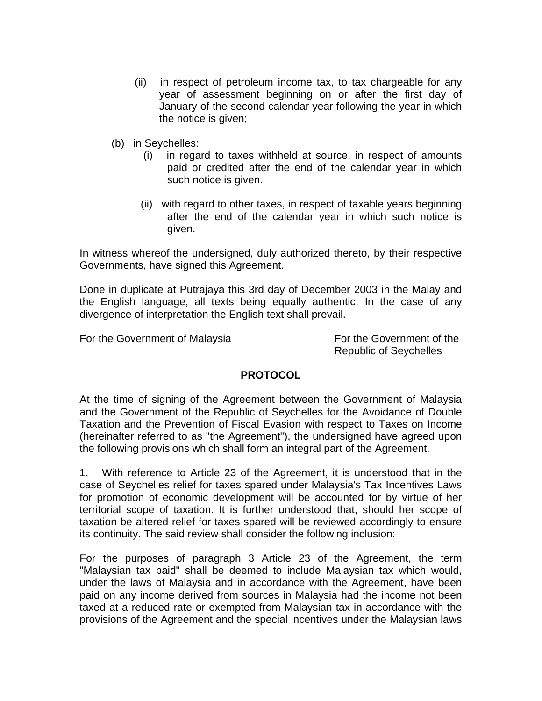- (ii) in respect of petroleum income tax, to tax chargeable for any year of assessment beginning on or after the first day of January of the second calendar year following the year in which the notice is given;
- (b) in Seychelles:
	- (i) in regard to taxes withheld at source, in respect of amounts paid or credited after the end of the calendar year in which such notice is given.
	- (ii) with regard to other taxes, in respect of taxable years beginning after the end of the calendar year in which such notice is given.

In witness whereof the undersigned, duly authorized thereto, by their respective Governments, have signed this Agreement.

Done in duplicate at Putrajaya this 3rd day of December 2003 in the Malay and the English language, all texts being equally authentic. In the case of any divergence of interpretation the English text shall prevail.

For the Government of Malaysia For the Government of the

Republic of Seychelles

# **PROTOCOL**

At the time of signing of the Agreement between the Government of Malaysia and the Government of the Republic of Seychelles for the Avoidance of Double Taxation and the Prevention of Fiscal Evasion with respect to Taxes on Income (hereinafter referred to as "the Agreement"), the undersigned have agreed upon the following provisions which shall form an integral part of the Agreement.

1. With reference to Article 23 of the Agreement, it is understood that in the case of Seychelles relief for taxes spared under Malaysia's Tax Incentives Laws for promotion of economic development will be accounted for by virtue of her territorial scope of taxation. It is further understood that, should her scope of taxation be altered relief for taxes spared will be reviewed accordingly to ensure its continuity. The said review shall consider the following inclusion:

For the purposes of paragraph 3 Article 23 of the Agreement, the term "Malaysian tax paid" shall be deemed to include Malaysian tax which would, under the laws of Malaysia and in accordance with the Agreement, have been paid on any income derived from sources in Malaysia had the income not been taxed at a reduced rate or exempted from Malaysian tax in accordance with the provisions of the Agreement and the special incentives under the Malaysian laws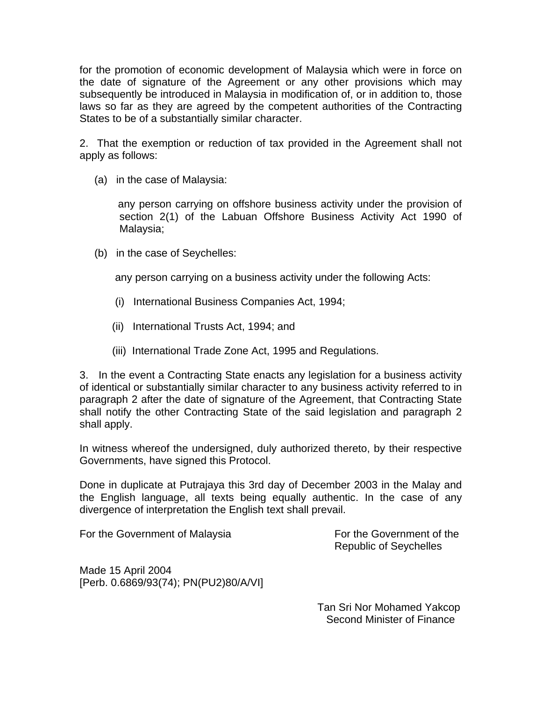for the promotion of economic development of Malaysia which were in force on the date of signature of the Agreement or any other provisions which may subsequently be introduced in Malaysia in modification of, or in addition to, those laws so far as they are agreed by the competent authorities of the Contracting States to be of a substantially similar character.

2. That the exemption or reduction of tax provided in the Agreement shall not apply as follows:

(a) in the case of Malaysia:

 any person carrying on offshore business activity under the provision of section 2(1) of the Labuan Offshore Business Activity Act 1990 of Malaysia;

(b) in the case of Seychelles:

any person carrying on a business activity under the following Acts:

- (i) International Business Companies Act, 1994;
- (ii) International Trusts Act, 1994; and
- (iii) International Trade Zone Act, 1995 and Regulations.

3. In the event a Contracting State enacts any legislation for a business activity of identical or substantially similar character to any business activity referred to in paragraph 2 after the date of signature of the Agreement, that Contracting State shall notify the other Contracting State of the said legislation and paragraph 2 shall apply.

In witness whereof the undersigned, duly authorized thereto, by their respective Governments, have signed this Protocol.

Done in duplicate at Putrajaya this 3rd day of December 2003 in the Malay and the English language, all texts being equally authentic. In the case of any divergence of interpretation the English text shall prevail.

For the Government of Malaysia For the Government of the

Republic of Seychelles

Made 15 April 2004 [Perb. 0.6869/93(74); PN(PU2)80/A/VI]

> Tan Sri Nor Mohamed Yakcop Second Minister of Finance